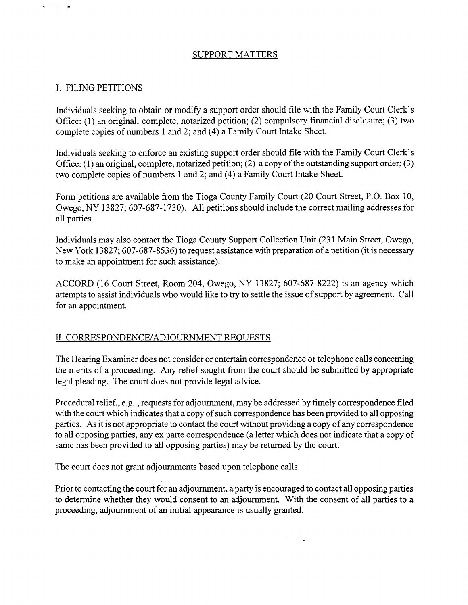## SUPPORT MATTERS

# I. FILING PETITIONS

Individuals seeking to obtain or modify a support order should file with the Family Court Clerk's Office: (1) an original, complete, notarized petition; (2) compulsory financial disclosure; (3) two complete copies of numbers 1 and 2; and (4) a Family Court Intake Sheet.

Individuals seeking to enforce an existing support order should file with the Family Court Clerk's Office: (1) an original, complete, notarized petition; (2) a copy of the outstanding support order; (3) two complete copies of numbers 1 and 2; and (4) a Family Court Intake Sheet.

Form petitions are available from the Tioga County Family Court (20 Court Street, P.O. Box 10, Owego, NY 13827; 607-687-1730). All petitions should include the correct mailing addresses for all parties.

Individuals may also contact the Tioga County Support Collection Unit (23 1 Main Street, Owego, New York 13827; 607-687-8536) to request assistance with preparation of a petition (it is necessary to make an appointment for such assistance).

ACCORD (16 Court Street, Room 204, Owego, NY 13827; 607-687-8222) is an agency which attempts to assist individuals who would like to try to settle the issue of support by agreement. Call for an appointment.

### 11. **CORRESPONDENCEIADJOURNMENT** REQUESTS

The Hearing Examiner does not consider or entertain correspondence or telephone calls concerning the merits of a proceeding. Any relief sought from the court should be submitted by appropriate legal pleading. The court does not provide legal advice.

Procedural relief., e.g.., requests for adjournment, may be addressed by timely correspondence filed with the court which indicates that a copy of such correspondence has been provided to all opposing parties. As it is not appropriate to contact the court without providing a copy of any correspondence to all opposing parties, any ex parte correspondence (a letter which does not indicate that a copy of same has been provided to all opposing parties) may be returned by the court.

The court does not grant adjournments based upon telephone calls.

Prior to contacting the court for an adjournment, a party is encouraged to contact all opposing parties to determine whether they would consent to an adjournment. With the consent of all parties to a proceeding, adjournment of an initial appearance is usually granted.